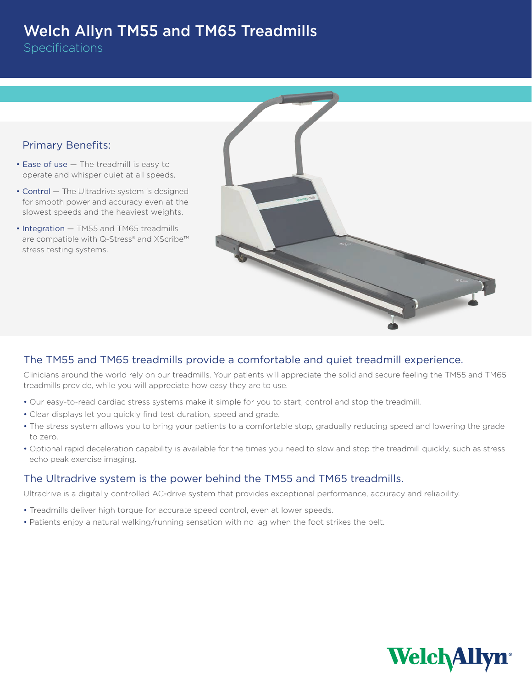## Welch Allyn TM55 and TM65 Treadmills

**Specifications** 



## The TM55 and TM65 treadmills provide a comfortable and quiet treadmill experience.

Clinicians around the world rely on our treadmills. Your patients will appreciate the solid and secure feeling the TM55 and TM65 treadmills provide, while you will appreciate how easy they are to use.

- Our easy-to-read cardiac stress systems make it simple for you to start, control and stop the treadmill.
- Clear displays let you quickly find test duration, speed and grade.
- The stress system allows you to bring your patients to a comfortable stop, gradually reducing speed and lowering the grade to zero.
- Optional rapid deceleration capability is available for the times you need to slow and stop the treadmill quickly, such as stress echo peak exercise imaging.

## The Ultradrive system is the power behind the TM55 and TM65 treadmills.

Ultradrive is a digitally controlled AC-drive system that provides exceptional performance, accuracy and reliability.

- Treadmills deliver high torque for accurate speed control, even at lower speeds.
- Patients enjoy a natural walking/running sensation with no lag when the foot strikes the belt.